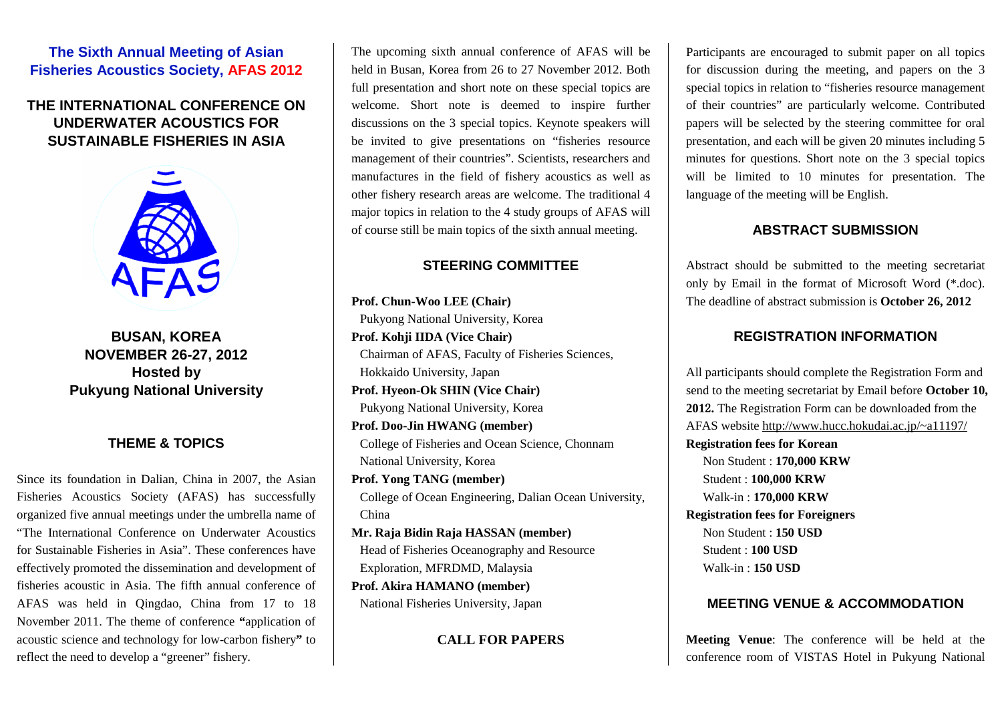# **The Sixth Annual Meeting of Asian Fisheries Acoustics Society, AFAS 2012**

# **THE INTERNATIONAL CONFERENCE ON UNDERWATER ACOUSTICS FOR SUSTAINABLE FISHERIES IN ASIA**



**BUSAN, KOREA NOVEMBER 26-27, 2012 Hosted by Pukyung National University** 

#### **THEME & TOPICS**

Since its foundation in Dalian, China in 2007, the Asian Fisheries Acoustics Society (AFAS) has successfully organized five annual meetings under the umbrella name of "The International Conference on Underwater Acoustics for Sustainable Fisheries in Asia". These conferences have effectively promoted the dissemination and development of fisheries acoustic in Asia. The fifth annual conference of AFAS was held in Qingdao, China from 17 to 18 November 2011. The theme of conference **"**application of acoustic science and technology for low-carbon fishery**"** to reflect the need to develop a "greener" fishery.

The upcoming sixth annual conference of AFAS will be held in Busan, Korea from 26 to 27 November 2012. Both full presentation and short note on these special topics are welcome. Short note is deemed to inspire further discussions on the 3 special topics. Keynote speakers will be invited to give presentations on "fisheries resource management of their countries". Scientists, researchers and manufactures in the field of fishery acoustics as well as other fishery research areas are welcome. The traditional 4 major topics in relation to the 4 study groups of AFAS will of course still be main topics of the sixth annual meeting.

## **STEERING COMMITTEE**

**Prof. Chun-Woo LEE (Chair)**  Pukyong National University, Korea **Prof. Kohji IIDA (Vice Chair)**  Chairman of AFAS, Faculty of Fisheries Sciences, Hokkaido University, Japan **Prof. Hyeon-Ok SHIN (Vice Chair)**  Pukyong National University, Korea **Prof. Doo-Jin HWANG (member)**  College of Fisheries and Ocean Science, Chonnam National University, Korea **Prof. Yong TANG (member)**  College of Ocean Engineering, Dalian Ocean University, China **Mr. Raja Bidin Raja HASSAN (member)**  Head of Fisheries Oceanography and Resource Exploration, MFRDMD, Malaysia **Prof. Akira HAMANO (member)** 

National Fisheries University, Japan

**CALL FOR PAPERS** 

Participants are encouraged to submit paper on all topics for discussion during the meeting, and papers on the 3 special topics in relation to "fisheries resource management of their countries" are particularly welcome. Contributed papers will be selected by the steering committee for oral presentation, and each will be given 20 minutes including 5 minutes for questions. Short note on the 3 special topics will be limited to 10 minutes for presentation. The language of the meeting will be English.

## **ABSTRACT SUBMISSION**

Abstract should be submitted to the meeting secretariat only by Email in the format of Microsoft Word (\*.doc). The deadline of abstract submission is **October 26, 2012**

## **REGISTRATION INFORMATION**

All participants should complete the Registration Form and send to the meeting secretariat by Email before **October 10, 201**2**.** The Registration Form can be downloaded from the AFAS website http://www.hucc.hokudai.ac.jp/~a11197/ **Registration fees for Korean** Non Student : **170,000 KRW** Student : **100,000 KRW** Walk-in : **170,000 KRW Registration fees for Foreigners**  Non Student : **150 USD**  Student : **100 USD**  Walk-in : **150 USD** 

#### **MEETING VENUE & ACCOMMODATION**

**Meeting Venue**: The conference will be held at the conference room of VISTAS Hotel in Pukyung National